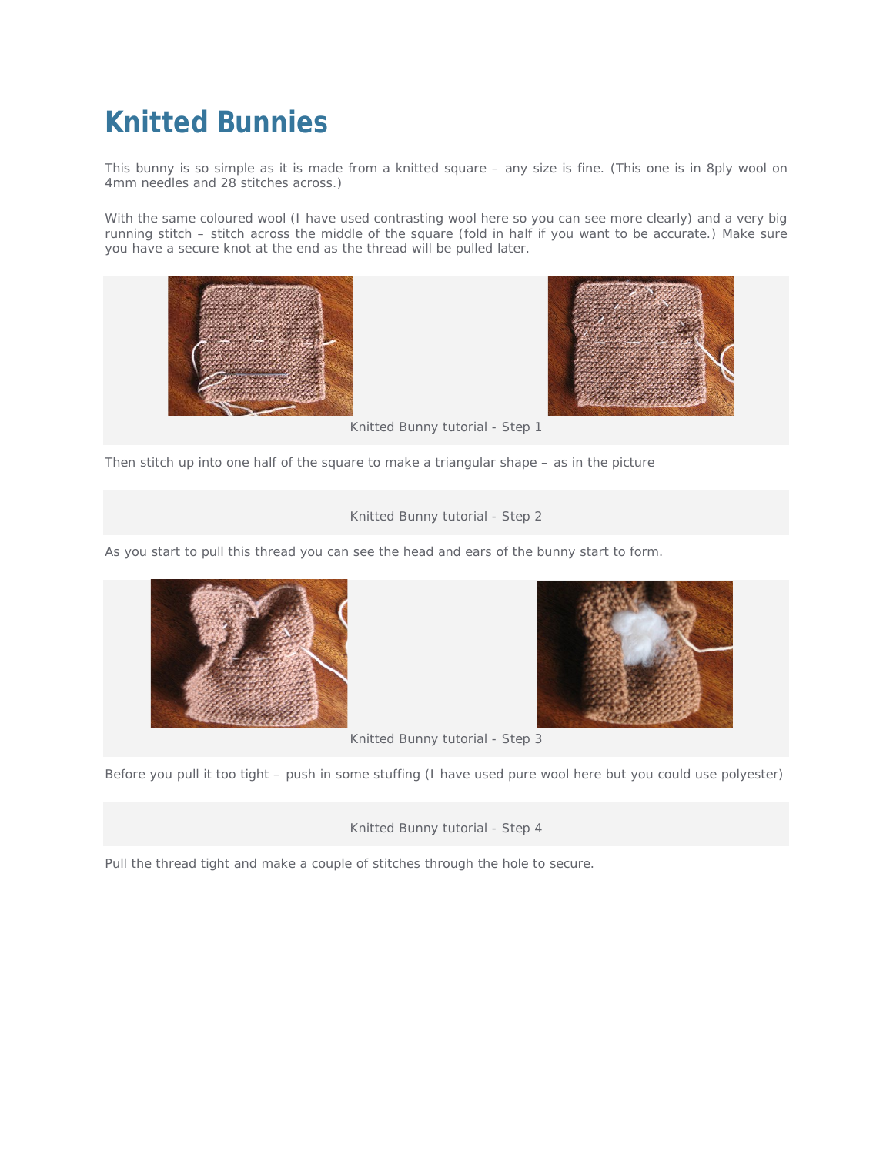## **Knitted Bunnies**

This bunny is so simple as it is made from a knitted square – any size is fine. (This one is in 8ply wool on 4mm needles and 28 stitches across.)

With the same coloured wool (I have used contrasting wool here so you can see more clearly) and a very big running stitch – stitch across the middle of the square (fold in half if you want to be accurate.) Make sure you have a secure knot at the end as the thread will be pulled later.





Knitted Bunny tutorial - Step 1

Then stitch up into one half of the square to make a triangular shape – as in the picture

## Knitted Bunny tutorial - Step 2

As you start to pull this thread you can see the head and ears of the bunny start to form.





Knitted Bunny tutorial - Step 3

Before you pull it too tight – push in some stuffing (I have used pure wool here but you could use polyester)

Knitted Bunny tutorial - Step 4

Pull the thread tight and make a couple of stitches through the hole to secure.